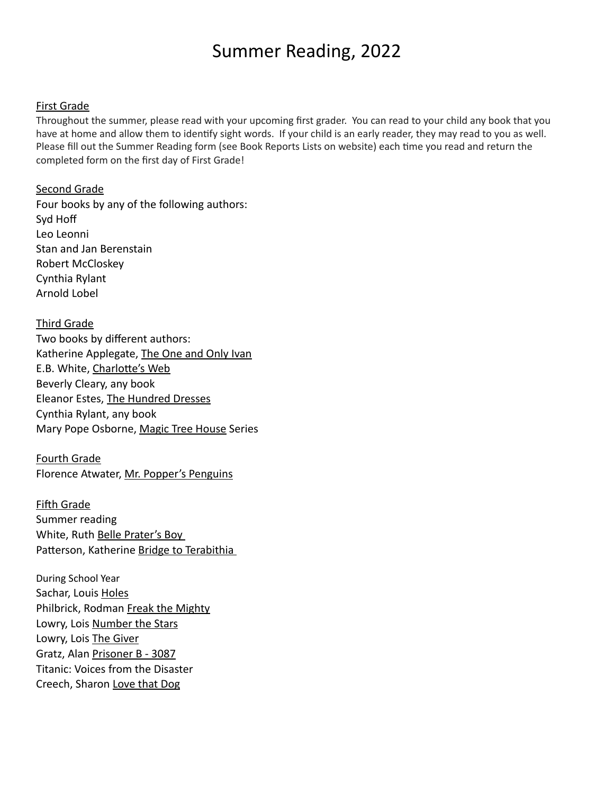# Summer Reading, 2022

#### First Grade

Throughout the summer, please read with your upcoming first grader. You can read to your child any book that you have at home and allow them to identify sight words. If your child is an early reader, they may read to you as well. Please fill out the Summer Reading form (see Book Reports Lists on website) each time you read and return the completed form on the first day of First Grade!

#### Second Grade

Four books by any of the following authors: Syd Hoff Leo Leonni Stan and Jan Berenstain Robert McCloskey Cynthia Rylant Arnold Lobel 

Third Grade Two books by different authors: Katherine Applegate, The One and Only Ivan E.B. White, Charlotte's Web Beverly Cleary, any book Eleanor Estes, The Hundred Dresses Cynthia Rylant, any book Mary Pope Osborne, Magic Tree House Series

Fourth Grade Florence Atwater, Mr. Popper's Penguins

Fifth Grade Summer reading White, Ruth Belle Prater's Boy Patterson, Katherine Bridge to Terabithia

During School Year Sachar, Louis Holes Philbrick, Rodman Freak the Mighty Lowry, Lois Number the Stars Lowry, Lois The Giver Gratz, Alan Prisoner B - 3087 Titanic: Voices from the Disaster Creech, Sharon Love that Dog